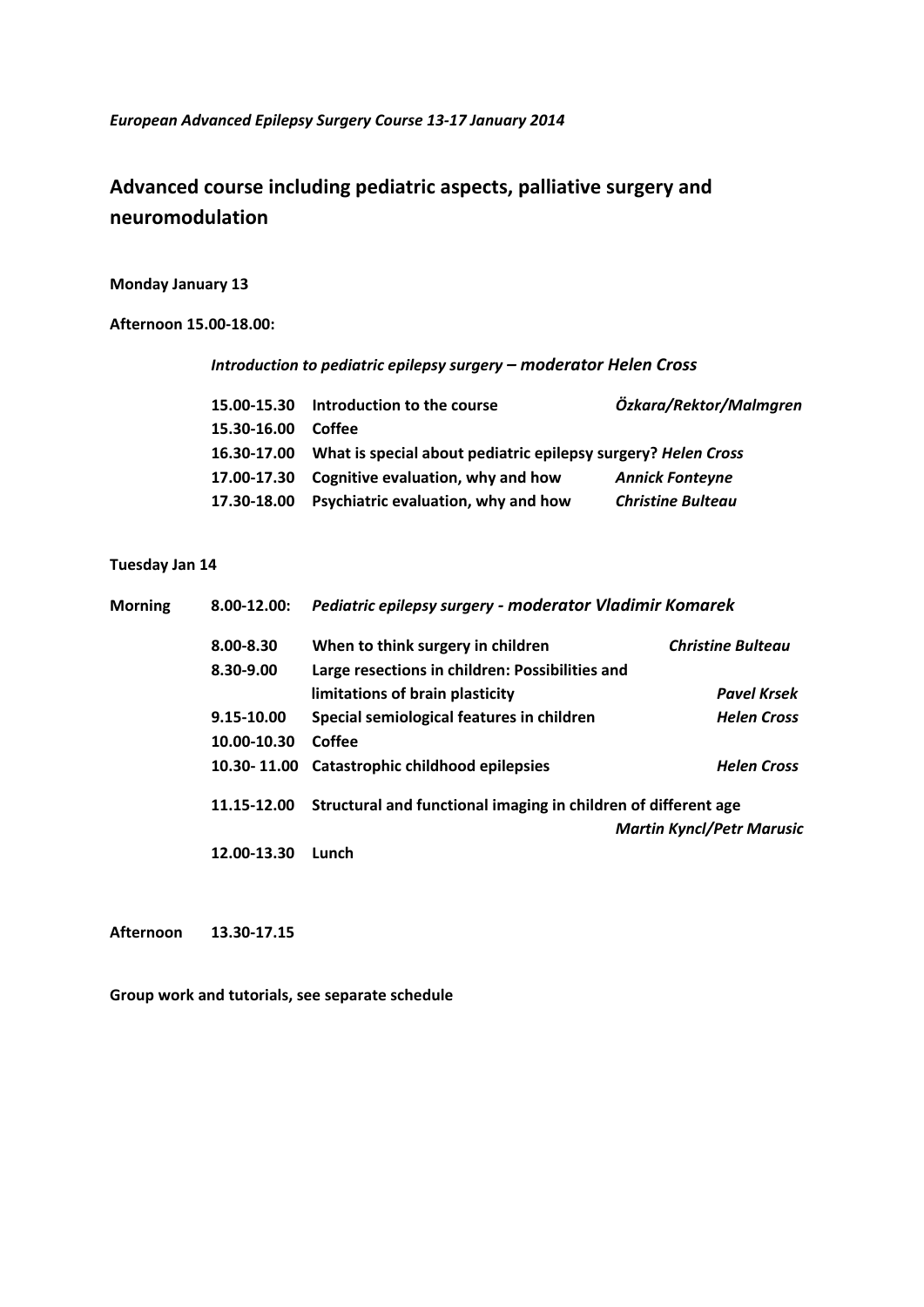*European Advanced Epilepsy Surgery Course 13‐17 January 2014*

# **Advanced course including pediatric aspects, palliative surgery and neuromodulation**

## **Monday January 13**

**Afternoon 15.00‐18.00:**

*Introduction to pediatric epilepsy surgery – moderator Helen Cross*

|             | 15.00-15.30 Introduction to the course                                    | Özkara/Rektor/Malmgren   |
|-------------|---------------------------------------------------------------------------|--------------------------|
| 15.30-16.00 | Coffee                                                                    |                          |
|             | 16.30-17.00 What is special about pediatric epilepsy surgery? Helen Cross |                          |
|             | 17.00-17.30 Cognitive evaluation, why and how                             | <b>Annick Fonteyne</b>   |
| 17.30-18.00 | <b>Psychiatric evaluation, why and how</b>                                | <b>Christine Bulteau</b> |

### **Tuesday Jan 14**

| <b>Morning</b><br>$8.00 - 12.00:$ |             | Pediatric epilepsy surgery - moderator Vladimir Komarek        |                                  |
|-----------------------------------|-------------|----------------------------------------------------------------|----------------------------------|
|                                   | 8.00-8.30   | When to think surgery in children                              | <b>Christine Bulteau</b>         |
|                                   | 8.30-9.00   | Large resections in children: Possibilities and                |                                  |
|                                   |             | limitations of brain plasticity                                | <b>Pavel Krsek</b>               |
|                                   | 9.15-10.00  | Special semiological features in children                      | <b>Helen Cross</b>               |
|                                   | 10.00-10.30 | Coffee                                                         |                                  |
|                                   | 10.30-11.00 | Catastrophic childhood epilepsies                              | <b>Helen Cross</b>               |
|                                   | 11.15-12.00 | Structural and functional imaging in children of different age |                                  |
|                                   |             |                                                                | <b>Martin Kyncl/Petr Marusic</b> |
|                                   | 12.00-13.30 | Lunch                                                          |                                  |

**Afternoon 13.30‐17.15**

**Group work and tutorials, see separate schedule**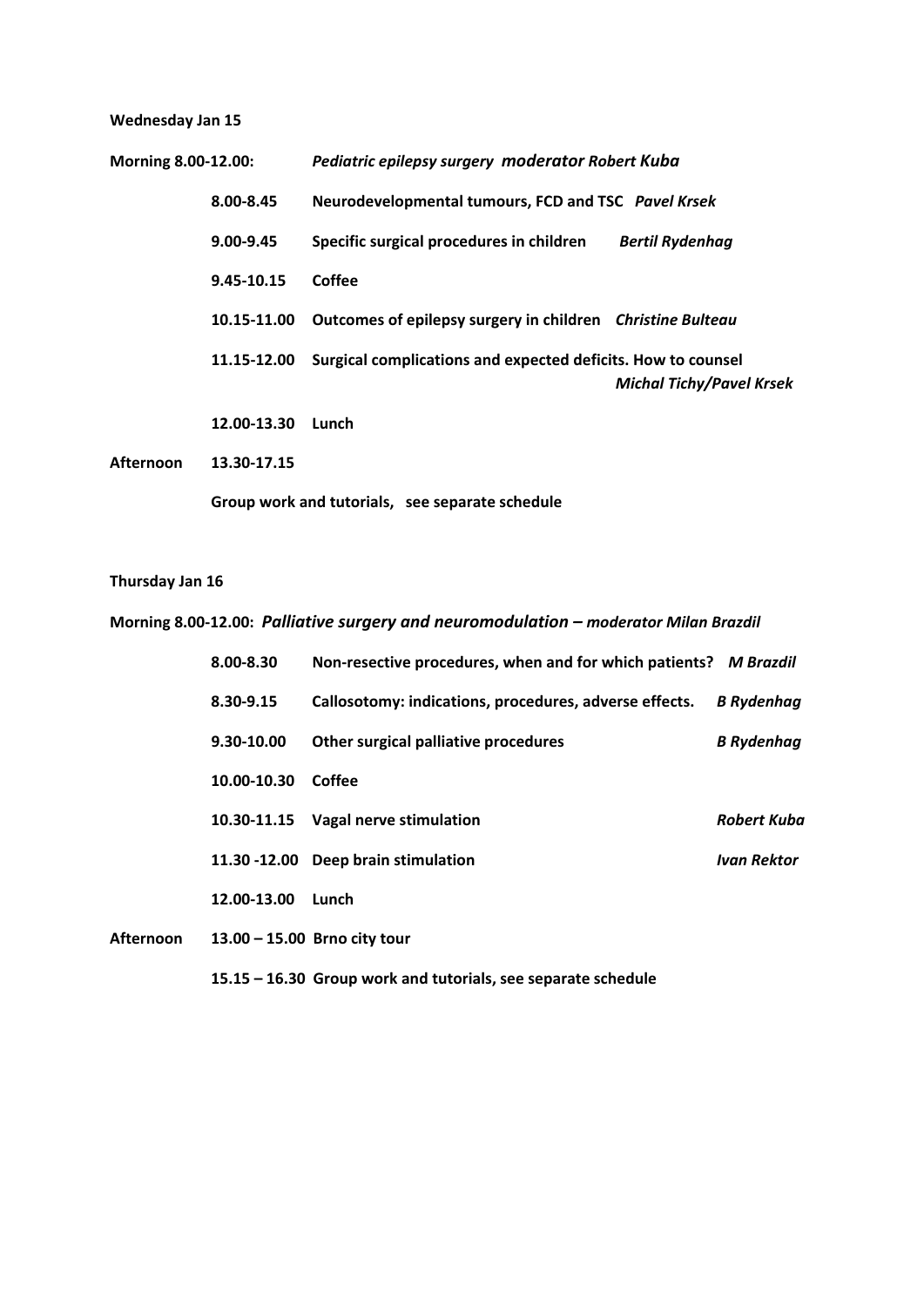## **Wednesday Jan 15**

| Morning 8.00-12.00: |               | Pediatric epilepsy surgery moderator Robert Kuba                       |                                 |
|---------------------|---------------|------------------------------------------------------------------------|---------------------------------|
|                     | 8.00-8.45     | Neurodevelopmental tumours, FCD and TSC Pavel Krsek                    |                                 |
|                     | $9.00 - 9.45$ | Specific surgical procedures in children                               | <b>Bertil Rydenhag</b>          |
|                     | 9.45-10.15    | Coffee                                                                 |                                 |
|                     |               | 10.15-11.00 Outcomes of epilepsy surgery in children Christine Bulteau |                                 |
|                     | 11.15-12.00   | Surgical complications and expected deficits. How to counsel           | <b>Michal Tichy/Pavel Krsek</b> |
|                     | 12.00-13.30   | Lunch                                                                  |                                 |
| <b>Afternoon</b>    | 13.30-17.15   |                                                                        |                                 |
|                     |               | Group work and tutorials, see separate schedule                        |                                 |

#### **Thursday Jan 16**

**Morning 8.00‐12.00:** *Palliative surgery and neuromodulation – moderator Milan Brazdil* 

|                  | 8.00-8.30   | Non-resective procedures, when and for which patients? M Brazdil |                   |
|------------------|-------------|------------------------------------------------------------------|-------------------|
|                  | 8.30-9.15   | Callosotomy: indications, procedures, adverse effects.           | <b>B</b> Rydenhag |
|                  | 9.30-10.00  | Other surgical palliative procedures                             | <b>B</b> Rydenhag |
|                  | 10.00-10.30 | Coffee                                                           |                   |
|                  | 10.30-11.15 | <b>Vagal nerve stimulation</b>                                   | Robert Kuba       |
|                  |             | 11.30 -12.00 Deep brain stimulation                              | Ivan Rektor       |
|                  | 12.00-13.00 | Lunch                                                            |                   |
| <b>Afternoon</b> |             | $13.00 - 15.00$ Brno city tour                                   |                   |
|                  |             | 15.15 - 16.30 Group work and tutorials, see separate schedule    |                   |